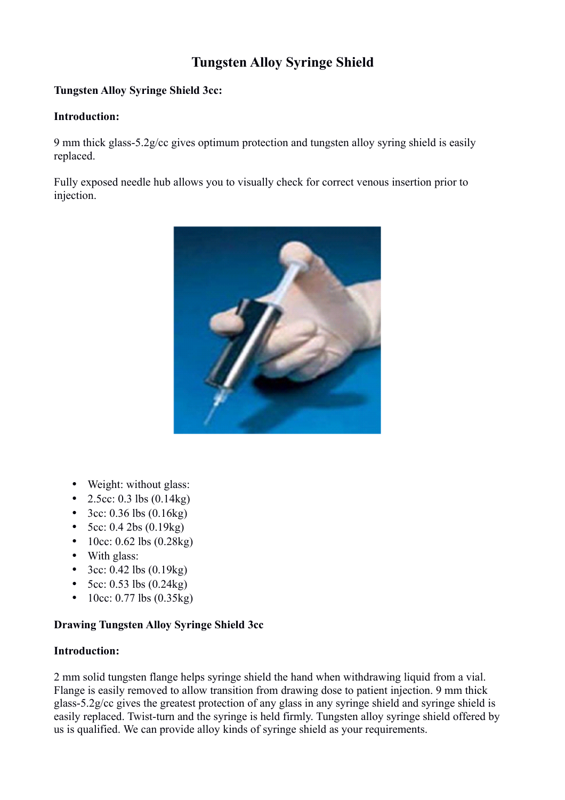# **Tungsten Alloy Syringe Shield**

#### **Tungsten Alloy Syringe Shield 3cc:**

#### **Introduction:**

9 mm thick glass-5.2g/cc gives optimum protection and tungsten alloy syring shield is easily replaced.

Fully exposed needle hub allows you to visually check for correct venous insertion prior to injection.



- Weight: without glass:
- 2.5cc: 0.3 lbs  $(0.14 \text{kg})$
- $3cc: 0.36$  lbs  $(0.16kg)$
- $5cc: 0.4$  2bs  $(0.19kg)$
- $10cc: 0.62$  lbs  $(0.28kg)$
- With glass:
- $3cc: 0.42$  lbs  $(0.19kg)$
- $5cc: 0.53$  lbs  $(0.24kg)$
- $10cc: 0.77$  lbs  $(0.35kg)$

### **Drawing Tungsten Alloy Syringe Shield 3cc**

### **Introduction:**

2 mm solid tungsten flange helps syringe shield the hand when withdrawing liquid from a vial. Flange is easily removed to allow transition from drawing dose to patient injection. 9 mm thick glass-5.2g/cc gives the greatest protection of any glass in any syringe shield and syringe shield is easily replaced. Twist-turn and the syringe is held firmly. Tungsten alloy syringe shield offered by us is qualified. We can provide alloy kinds of syringe shield as your requirements.